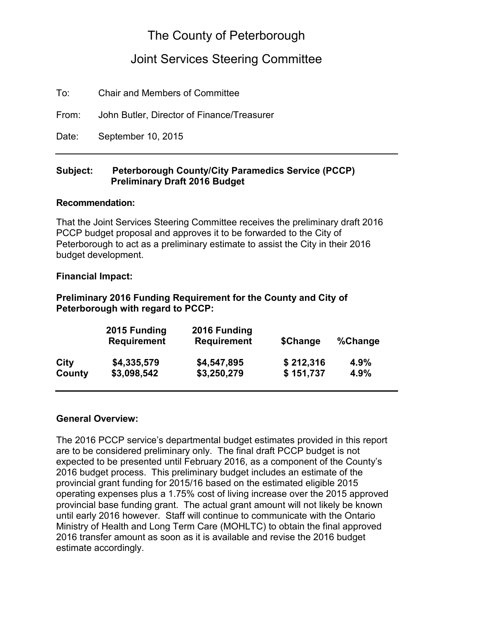# The County of Peterborough

## Joint Services Steering Committee

To: Chair and Members of Committee

From: John Butler, Director of Finance/Treasurer

Date: September 10, 2015

#### **Subject: Peterborough County/City Paramedics Service (PCCP) Preliminary Draft 2016 Budget**

#### **Recommendation:**

That the Joint Services Steering Committee receives the preliminary draft 2016 PCCP budget proposal and approves it to be forwarded to the City of Peterborough to act as a preliminary estimate to assist the City in their 2016 budget development.

#### **Financial Impact:**

#### **Preliminary 2016 Funding Requirement for the County and City of Peterborough with regard to PCCP:**

| 2015 Funding<br><b>Requirement</b> | 2016 Funding<br><b>Requirement</b> | \$Change  | %Change |
|------------------------------------|------------------------------------|-----------|---------|
| \$4,335,579                        | \$4,547,895                        | \$212,316 | 4.9%    |
| \$3,098,542                        | \$3,250,279                        | \$151,737 | 4.9%    |
|                                    |                                    |           |         |

#### **General Overview:**

The 2016 PCCP service's departmental budget estimates provided in this report are to be considered preliminary only. The final draft PCCP budget is not expected to be presented until February 2016, as a component of the County's 2016 budget process. This preliminary budget includes an estimate of the provincial grant funding for 2015/16 based on the estimated eligible 2015 operating expenses plus a 1.75% cost of living increase over the 2015 approved provincial base funding grant. The actual grant amount will not likely be known until early 2016 however. Staff will continue to communicate with the Ontario Ministry of Health and Long Term Care (MOHLTC) to obtain the final approved 2016 transfer amount as soon as it is available and revise the 2016 budget estimate accordingly.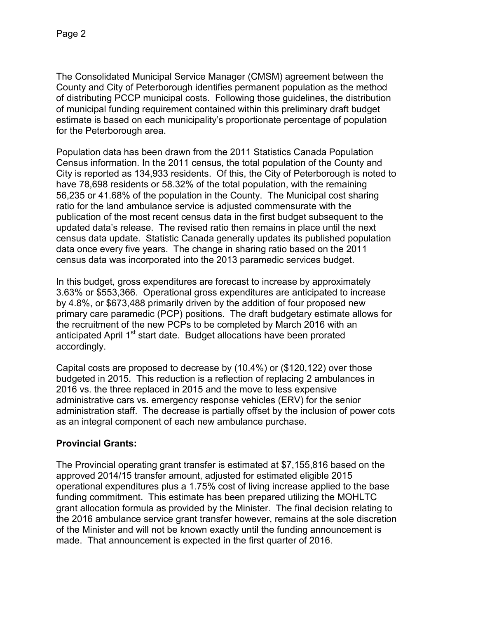The Consolidated Municipal Service Manager (CMSM) agreement between the County and City of Peterborough identifies permanent population as the method of distributing PCCP municipal costs. Following those guidelines, the distribution of municipal funding requirement contained within this preliminary draft budget estimate is based on each municipality's proportionate percentage of population for the Peterborough area.

Population data has been drawn from the 2011 Statistics Canada Population Census information. In the 2011 census, the total population of the County and City is reported as 134,933 residents. Of this, the City of Peterborough is noted to have 78,698 residents or 58.32% of the total population, with the remaining 56,235 or 41.68% of the population in the County. The Municipal cost sharing ratio for the land ambulance service is adjusted commensurate with the publication of the most recent census data in the first budget subsequent to the updated data's release. The revised ratio then remains in place until the next census data update. Statistic Canada generally updates its published population data once every five years. The change in sharing ratio based on the 2011 census data was incorporated into the 2013 paramedic services budget.

In this budget, gross expenditures are forecast to increase by approximately 3.63% or \$553,366. Operational gross expenditures are anticipated to increase by 4.8%, or \$673,488 primarily driven by the addition of four proposed new primary care paramedic (PCP) positions. The draft budgetary estimate allows for the recruitment of the new PCPs to be completed by March 2016 with an anticipated April 1<sup>st</sup> start date. Budget allocations have been prorated accordingly.

Capital costs are proposed to decrease by (10.4%) or (\$120,122) over those budgeted in 2015. This reduction is a reflection of replacing 2 ambulances in 2016 vs. the three replaced in 2015 and the move to less expensive administrative cars vs. emergency response vehicles (ERV) for the senior administration staff. The decrease is partially offset by the inclusion of power cots as an integral component of each new ambulance purchase.

## **Provincial Grants:**

The Provincial operating grant transfer is estimated at \$7,155,816 based on the approved 2014/15 transfer amount, adjusted for estimated eligible 2015 operational expenditures plus a 1.75% cost of living increase applied to the base funding commitment. This estimate has been prepared utilizing the MOHLTC grant allocation formula as provided by the Minister. The final decision relating to the 2016 ambulance service grant transfer however, remains at the sole discretion of the Minister and will not be known exactly until the funding announcement is made. That announcement is expected in the first quarter of 2016.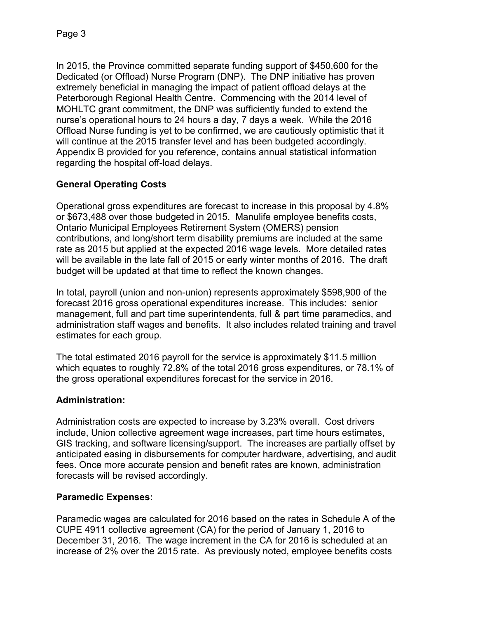In 2015, the Province committed separate funding support of \$450,600 for the Dedicated (or Offload) Nurse Program (DNP). The DNP initiative has proven extremely beneficial in managing the impact of patient offload delays at the Peterborough Regional Health Centre. Commencing with the 2014 level of MOHLTC grant commitment, the DNP was sufficiently funded to extend the nurse's operational hours to 24 hours a day, 7 days a week. While the 2016 Offload Nurse funding is yet to be confirmed, we are cautiously optimistic that it will continue at the 2015 transfer level and has been budgeted accordingly. Appendix B provided for you reference, contains annual statistical information regarding the hospital off-load delays.

## **General Operating Costs**

Operational gross expenditures are forecast to increase in this proposal by 4.8% or \$673,488 over those budgeted in 2015. Manulife employee benefits costs, Ontario Municipal Employees Retirement System (OMERS) pension contributions, and long/short term disability premiums are included at the same rate as 2015 but applied at the expected 2016 wage levels. More detailed rates will be available in the late fall of 2015 or early winter months of 2016. The draft budget will be updated at that time to reflect the known changes.

In total, payroll (union and non-union) represents approximately \$598,900 of the forecast 2016 gross operational expenditures increase. This includes: senior management, full and part time superintendents, full & part time paramedics, and administration staff wages and benefits. It also includes related training and travel estimates for each group.

The total estimated 2016 payroll for the service is approximately \$11.5 million which equates to roughly 72.8% of the total 2016 gross expenditures, or 78.1% of the gross operational expenditures forecast for the service in 2016.

## **Administration:**

Administration costs are expected to increase by 3.23% overall. Cost drivers include, Union collective agreement wage increases, part time hours estimates, GIS tracking, and software licensing/support. The increases are partially offset by anticipated easing in disbursements for computer hardware, advertising, and audit fees. Once more accurate pension and benefit rates are known, administration forecasts will be revised accordingly.

## **Paramedic Expenses:**

Paramedic wages are calculated for 2016 based on the rates in Schedule A of the CUPE 4911 collective agreement (CA) for the period of January 1, 2016 to December 31, 2016. The wage increment in the CA for 2016 is scheduled at an increase of 2% over the 2015 rate. As previously noted, employee benefits costs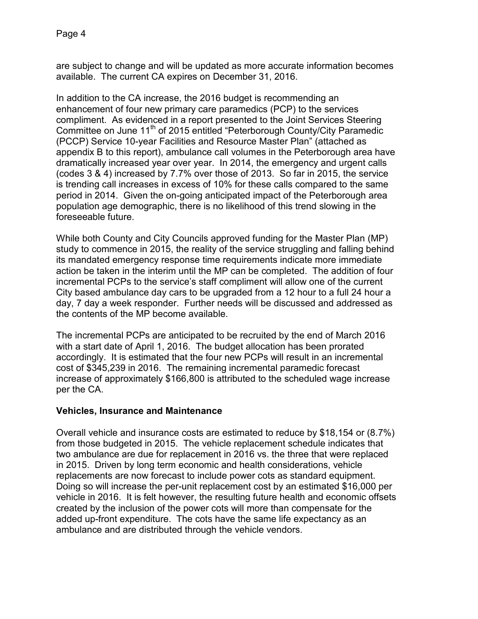are subject to change and will be updated as more accurate information becomes available. The current CA expires on December 31, 2016.

In addition to the CA increase, the 2016 budget is recommending an enhancement of four new primary care paramedics (PCP) to the services compliment. As evidenced in a report presented to the Joint Services Steering Committee on June 11<sup>th</sup> of 2015 entitled "Peterborough County/City Paramedic (PCCP) Service 10-year Facilities and Resource Master Plan" (attached as appendix B to this report), ambulance call volumes in the Peterborough area have dramatically increased year over year. In 2014, the emergency and urgent calls (codes 3 & 4) increased by 7.7% over those of 2013. So far in 2015, the service is trending call increases in excess of 10% for these calls compared to the same period in 2014. Given the on-going anticipated impact of the Peterborough area population age demographic, there is no likelihood of this trend slowing in the foreseeable future.

While both County and City Councils approved funding for the Master Plan (MP) study to commence in 2015, the reality of the service struggling and falling behind its mandated emergency response time requirements indicate more immediate action be taken in the interim until the MP can be completed. The addition of four incremental PCPs to the service's staff compliment will allow one of the current City based ambulance day cars to be upgraded from a 12 hour to a full 24 hour a day, 7 day a week responder. Further needs will be discussed and addressed as the contents of the MP become available.

The incremental PCPs are anticipated to be recruited by the end of March 2016 with a start date of April 1, 2016. The budget allocation has been prorated accordingly. It is estimated that the four new PCPs will result in an incremental cost of \$345,239 in 2016. The remaining incremental paramedic forecast increase of approximately \$166,800 is attributed to the scheduled wage increase per the CA.

#### **Vehicles, Insurance and Maintenance**

Overall vehicle and insurance costs are estimated to reduce by \$18,154 or (8.7%) from those budgeted in 2015. The vehicle replacement schedule indicates that two ambulance are due for replacement in 2016 vs. the three that were replaced in 2015. Driven by long term economic and health considerations, vehicle replacements are now forecast to include power cots as standard equipment. Doing so will increase the per-unit replacement cost by an estimated \$16,000 per vehicle in 2016. It is felt however, the resulting future health and economic offsets created by the inclusion of the power cots will more than compensate for the added up-front expenditure. The cots have the same life expectancy as an ambulance and are distributed through the vehicle vendors.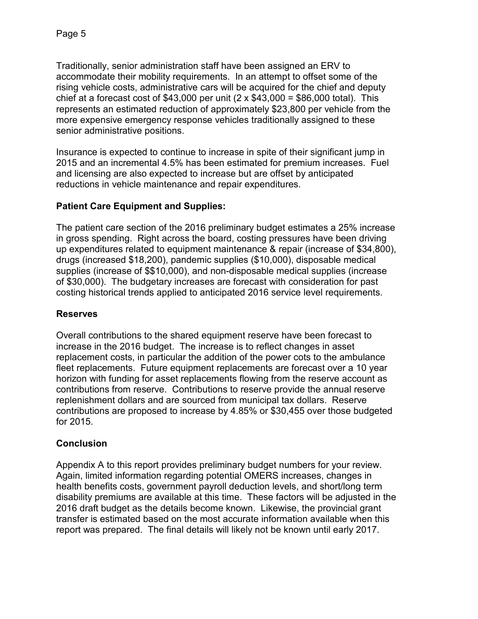Traditionally, senior administration staff have been assigned an ERV to accommodate their mobility requirements. In an attempt to offset some of the rising vehicle costs, administrative cars will be acquired for the chief and deputy chief at a forecast cost of \$43,000 per unit  $(2 \times $43,000 = $86,000$  total). This represents an estimated reduction of approximately \$23,800 per vehicle from the more expensive emergency response vehicles traditionally assigned to these senior administrative positions.

Insurance is expected to continue to increase in spite of their significant jump in 2015 and an incremental 4.5% has been estimated for premium increases. Fuel and licensing are also expected to increase but are offset by anticipated reductions in vehicle maintenance and repair expenditures.

## **Patient Care Equipment and Supplies:**

The patient care section of the 2016 preliminary budget estimates a 25% increase in gross spending. Right across the board, costing pressures have been driving up expenditures related to equipment maintenance & repair (increase of \$34,800), drugs (increased \$18,200), pandemic supplies (\$10,000), disposable medical supplies (increase of \$\$10,000), and non-disposable medical supplies (increase of \$30,000). The budgetary increases are forecast with consideration for past costing historical trends applied to anticipated 2016 service level requirements.

## **Reserves**

Overall contributions to the shared equipment reserve have been forecast to increase in the 2016 budget. The increase is to reflect changes in asset replacement costs, in particular the addition of the power cots to the ambulance fleet replacements. Future equipment replacements are forecast over a 10 year horizon with funding for asset replacements flowing from the reserve account as contributions from reserve. Contributions to reserve provide the annual reserve replenishment dollars and are sourced from municipal tax dollars. Reserve contributions are proposed to increase by 4.85% or \$30,455 over those budgeted for 2015.

## **Conclusion**

Appendix A to this report provides preliminary budget numbers for your review. Again, limited information regarding potential OMERS increases, changes in health benefits costs, government payroll deduction levels, and short/long term disability premiums are available at this time. These factors will be adjusted in the 2016 draft budget as the details become known. Likewise, the provincial grant transfer is estimated based on the most accurate information available when this report was prepared. The final details will likely not be known until early 2017.